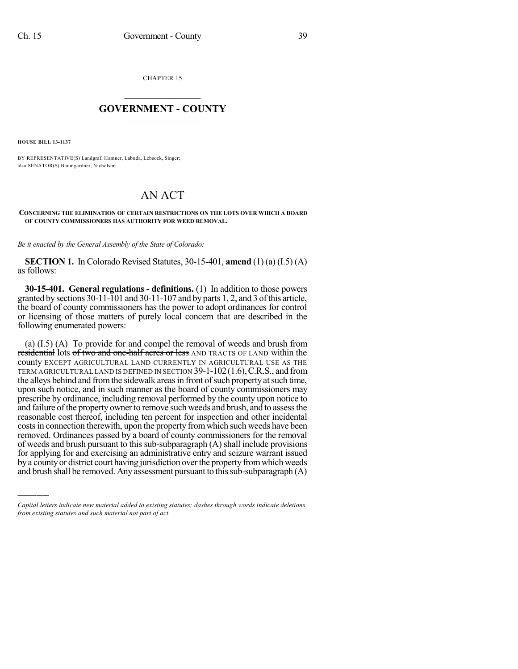CHAPTER 15

## $\mathcal{L}_\text{max}$  . The set of the set of the set of the set of the set of the set of the set of the set of the set of the set of the set of the set of the set of the set of the set of the set of the set of the set of the set **GOVERNMENT - COUNTY**  $\_$

**HOUSE BILL 13-1137**

)))))

BY REPRESENTATIVE(S) Landgraf, Hamner, Labuda, Lebsock, Singer; also SENATOR(S) Baumgardner, Nicholson.

## AN ACT

## **CONCERNING THE ELIMINATION OF CERTAIN RESTRICTIONS ON THE LOTS OVER WHICH A BOARD OF COUNTY COMMISSIONERS HAS AUTHORITY FOR WEED REMOVAL.**

*Be it enacted by the General Assembly of the State of Colorado:*

**SECTION 1.** In Colorado Revised Statutes, 30-15-401, **amend** (1) (a) (I.5) (A) as follows:

**30-15-401. General regulations - definitions.** (1) In addition to those powers granted by sections 30-11-101 and 30-11-107 and by parts 1, 2, and 3 ofthis article, the board of county commissioners has the power to adopt ordinances for control or licensing of those matters of purely local concern that are described in the following enumerated powers:

(a) (I.5) (A) To provide for and compel the removal of weeds and brush from residential lots of two and one-half acres or less AND TRACTS OF LAND within the county EXCEPT AGRICULTURAL LAND CURRENTLY IN AGRICULTURAL USE AS THE TERM AGRICULTURAL LAND IS DEFINED IN SECTION 39-1-102(1.6),C.R.S., and from the alleys behind and from the sidewalk areas in front of such property at such time, upon such notice, and in such manner as the board of county commissioners may prescribe by ordinance, including removal performed by the county upon notice to and failure of the property owner to remove such weeds and brush, and to assess the reasonable cost thereof, including ten percent for inspection and other incidental costs in connection therewith, upon the property from which such weeds have been removed. Ordinances passed by a board of county commissioners for the removal of weeds and brush pursuant to this sub-subparagraph (A) shall include provisions for applying for and exercising an administrative entry and seizure warrant issued by a county or district court having jurisdiction over the property from which weeds and brush shall be removed. Any assessment pursuant to this sub-subparagraph  $(A)$ 

*Capital letters indicate new material added to existing statutes; dashes through words indicate deletions from existing statutes and such material not part of act.*